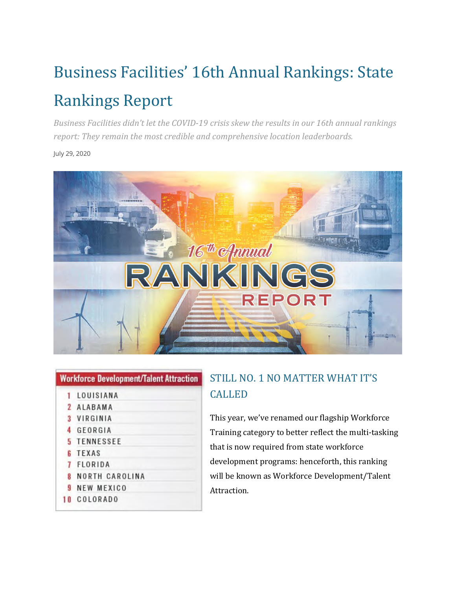## Business Facilities' 16th Annual Rankings: State Rankings Report

*Business Facilities didn't let the COVID-19 crisis skew the results in our 16th annual rankings report: They remain the most credible and comprehensive location leaderboards.* 

July 29, 2020



| <b>HOLMOTOG DEVELOPMENT TAIGHT ALLI ACTION</b> |                |
|------------------------------------------------|----------------|
|                                                | LOUISIANA      |
|                                                | 2 ALABAMA      |
|                                                | 3 VIRGINIA     |
| 4                                              | GEORGIA        |
|                                                | 5 TENNESSEE    |
|                                                | <b>6 TEXAS</b> |
|                                                |                |

Worldsson Bourloomset Tolant Attention

- FLORIDA
- NORTH CAROLINA
- **9 NEW MEXICO**
- 10 COLORADO

## STILL NO. 1 NO MATTER WHAT IT'S CALLED

This year, we've renamed our flagship Workforce Training category to better reflect the multi-tasking that is now required from state workforce development programs: henceforth, this ranking will be known as Workforce Development/Talent Attraction.